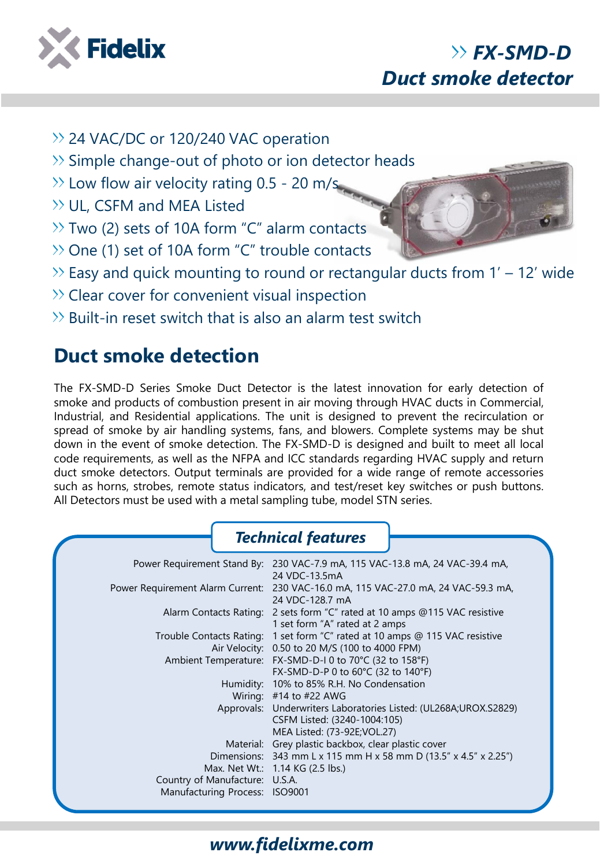

# *FX-SMD-D Duct smoke detector*

- >> 24 VAC/DC or 120/240 VAC operation
- $\gg$  Simple change-out of photo or ion detector heads
- $\gg$  Low flow air velocity rating 0.5 20 m/s.
- $\gg$  UL, CSFM and MEA Listed
- $\gg$  Two (2) sets of 10A form "C" alarm contacts
- $\gg$  One (1) set of 10A form "C" trouble contacts
- $\gg$  Easy and quick mounting to round or rectangular ducts from 1' 12' wide
- $\gg$  Clear cover for convenient visual inspection
- $\gg$  Built-in reset switch that is also an alarm test switch

## **Duct smoke detection**

The FX-SMD-D Series Smoke Duct Detector is the latest innovation for early detection of smoke and products of combustion present in air moving through HVAC ducts in Commercial, Industrial, and Residential applications. The unit is designed to prevent the recirculation or spread of smoke by air handling systems, fans, and blowers. Complete systems may be shut down in the event of smoke detection. The FX-SMD-D is designed and built to meet all local code requirements, as well as the NFPA and ICC standards regarding HVAC supply and return duct smoke detectors. Output terminals are provided for a wide range of remote accessories such as horns, strobes, remote status indicators, and test/reset key switches or push buttons. All Detectors must be used with a metal sampling tube, model STN series.

#### *Technical features*

|                                | Power Requirement Stand By: 230 VAC-7.9 mA, 115 VAC-13.8 mA, 24 VAC-39.4 mA,<br>24 VDC-13.5mA                |
|--------------------------------|--------------------------------------------------------------------------------------------------------------|
|                                | Power Requirement Alarm Current: 230 VAC-16.0 mA, 115 VAC-27.0 mA, 24 VAC-59.3 mA,<br>24 VDC-128.7 mA        |
|                                | Alarm Contacts Rating: 2 sets form "C" rated at 10 amps @115 VAC resistive<br>1 set form "A" rated at 2 amps |
|                                | Trouble Contacts Rating: 1 set form "C" rated at 10 amps @ 115 VAC resistive                                 |
|                                | Air Velocity: 0.50 to 20 M/S (100 to 4000 FPM)                                                               |
|                                | Ambient Temperature: FX-SMD-D-I 0 to 70°C (32 to 158°F)                                                      |
|                                | FX-SMD-D-P 0 to 60°C (32 to 140°F)                                                                           |
|                                | Humidity: 10% to 85% R.H. No Condensation                                                                    |
|                                | Wiring: $#14$ to $#22$ AWG                                                                                   |
|                                | Approvals: Underwriters Laboratories Listed: (UL268A;UROX.S2829)                                             |
|                                | CSFM Listed: (3240-1004:105)                                                                                 |
|                                | MEA Listed: (73-92E; VOL.27)                                                                                 |
|                                | Material: Grey plastic backbox, clear plastic cover                                                          |
|                                | Dimensions: 343 mm L x 115 mm H x 58 mm D (13.5" x 4.5" x 2.25")                                             |
|                                | Max. Net Wt.: 1.14 KG (2.5 lbs.)                                                                             |
| Country of Manufacture: U.S.A. |                                                                                                              |
| Manufacturing Process: ISO9001 |                                                                                                              |
|                                |                                                                                                              |

### *www.fidelixme.com*